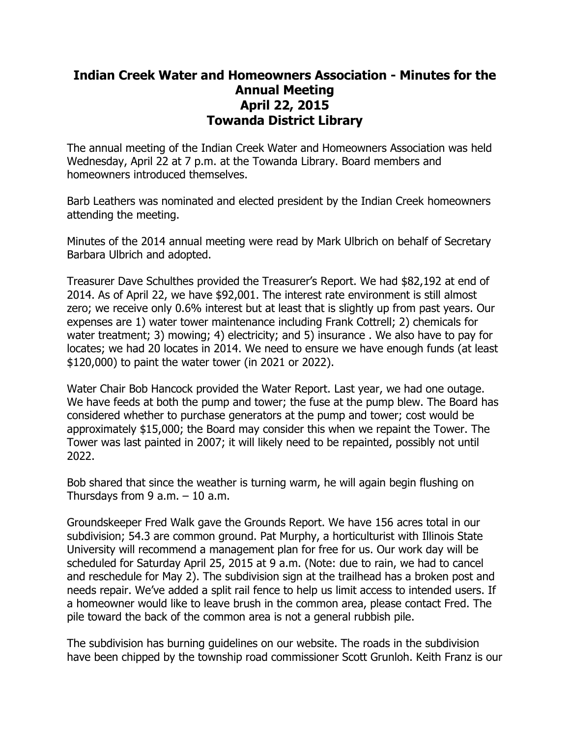## **Indian Creek Water and Homeowners Association - Minutes for the Annual Meeting April 22, 2015 Towanda District Library**

The annual meeting of the Indian Creek Water and Homeowners Association was held Wednesday, April 22 at 7 p.m. at the Towanda Library. Board members and homeowners introduced themselves.

Barb Leathers was nominated and elected president by the Indian Creek homeowners attending the meeting.

Minutes of the 2014 annual meeting were read by Mark Ulbrich on behalf of Secretary Barbara Ulbrich and adopted.

Treasurer Dave Schulthes provided the Treasurer's Report. We had \$82,192 at end of 2014. As of April 22, we have \$92,001. The interest rate environment is still almost zero; we receive only 0.6% interest but at least that is slightly up from past years. Our expenses are 1) water tower maintenance including Frank Cottrell; 2) chemicals for water treatment; 3) mowing; 4) electricity; and 5) insurance . We also have to pay for locates; we had 20 locates in 2014. We need to ensure we have enough funds (at least \$120,000) to paint the water tower (in 2021 or 2022).

Water Chair Bob Hancock provided the Water Report. Last year, we had one outage. We have feeds at both the pump and tower; the fuse at the pump blew. The Board has considered whether to purchase generators at the pump and tower; cost would be approximately \$15,000; the Board may consider this when we repaint the Tower. The Tower was last painted in 2007; it will likely need to be repainted, possibly not until 2022.

Bob shared that since the weather is turning warm, he will again begin flushing on Thursdays from  $9$  a.m.  $-10$  a.m.

Groundskeeper Fred Walk gave the Grounds Report. We have 156 acres total in our subdivision; 54.3 are common ground. Pat Murphy, a horticulturist with Illinois State University will recommend a management plan for free for us. Our work day will be scheduled for Saturday April 25, 2015 at 9 a.m. (Note: due to rain, we had to cancel and reschedule for May 2). The subdivision sign at the trailhead has a broken post and needs repair. We've added a split rail fence to help us limit access to intended users. If a homeowner would like to leave brush in the common area, please contact Fred. The pile toward the back of the common area is not a general rubbish pile.

The subdivision has burning guidelines on our website. The roads in the subdivision have been chipped by the township road commissioner Scott Grunloh. Keith Franz is our